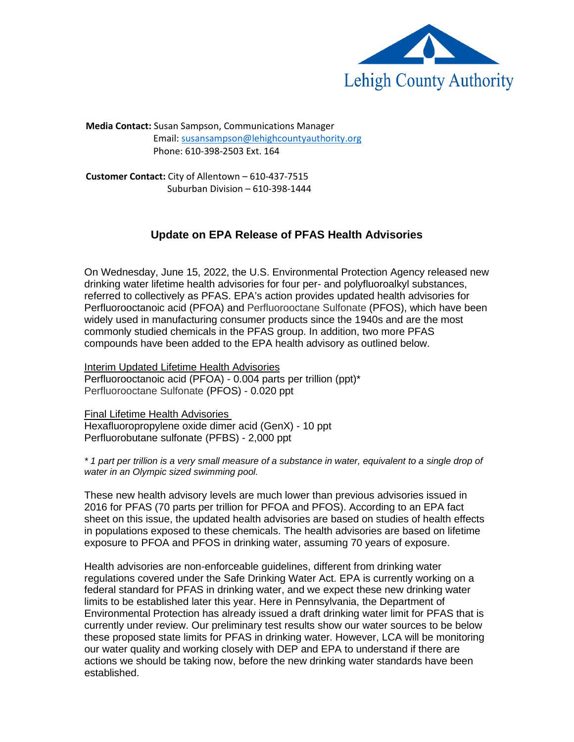

**Media Contact:** Susan Sampson, Communications Manager Email[: susansampson@lehighcountyauthority.org](mailto:susansampson@lehighcountyauthority.org) Phone: 610-398-2503 Ext. 164

**Customer Contact:** City of Allentown – 610-437-7515 Suburban Division – 610-398-1444

## **Update on EPA Release of PFAS Health Advisories**

On Wednesday, June 15, 2022, the U.S. Environmental Protection Agency released new drinking water lifetime health advisories for four per- and polyfluoroalkyl substances, referred to collectively as PFAS. EPA's action provides updated health advisories for Perfluorooctanoic acid (PFOA) and Perfluorooctane Sulfonate (PFOS), which have been widely used in manufacturing consumer products since the 1940s and are the most commonly studied chemicals in the PFAS group. In addition, two more PFAS compounds have been added to the EPA health advisory as outlined below.

Interim Updated Lifetime Health Advisories Perfluorooctanoic acid (PFOA) - 0.004 parts per trillion (ppt)\* Perfluorooctane Sulfonate (PFOS) - 0.020 ppt

Final Lifetime Health Advisories Hexafluoropropylene oxide dimer acid (GenX) - 10 ppt Perfluorobutane sulfonate (PFBS) - 2,000 ppt

*\* 1 part per trillion is a very small measure of a substance in water, equivalent to a single drop of water in an Olympic sized swimming pool.*

These new health advisory levels are much lower than previous advisories issued in 2016 for PFAS (70 parts per trillion for PFOA and PFOS). According to an EPA fact sheet on this issue, the updated health advisories are based on studies of health effects in populations exposed to these chemicals. The health advisories are based on lifetime exposure to PFOA and PFOS in drinking water, assuming 70 years of exposure.

Health advisories are non-enforceable guidelines, different from drinking water regulations covered under the Safe Drinking Water Act. EPA is currently working on a federal standard for PFAS in drinking water, and we expect these new drinking water limits to be established later this year. Here in Pennsylvania, the Department of Environmental Protection has already issued a draft drinking water limit for PFAS that is currently under review. Our preliminary test results show our water sources to be below these proposed state limits for PFAS in drinking water. However, LCA will be monitoring our water quality and working closely with DEP and EPA to understand if there are actions we should be taking now, before the new drinking water standards have been established.